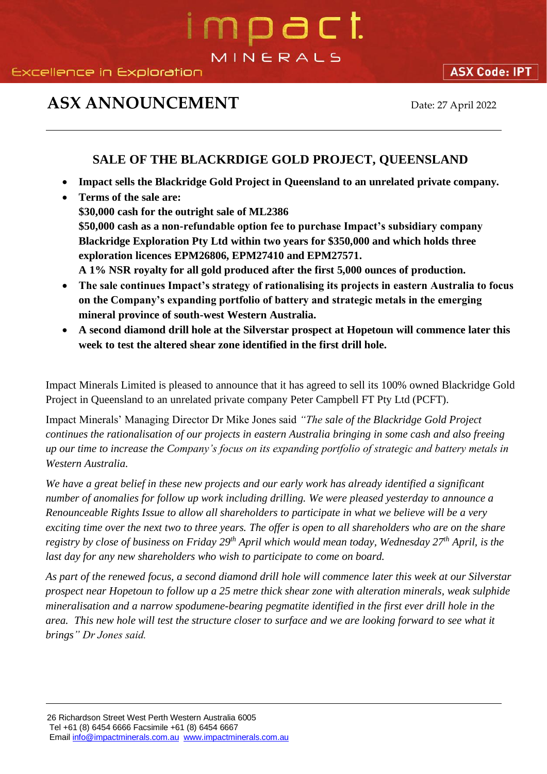# impact MINERALS

# **ASX ANNOUNCEMENT** Date: 27 April 2022

## **SALE OF THE BLACKRDIGE GOLD PROJECT, QUEENSLAND**

- **Impact sells the Blackridge Gold Project in Queensland to an unrelated private company.**
- **Terms of the sale are: \$30,000 cash for the outright sale of ML2386 \$50,000 cash as a non-refundable option fee to purchase Impact's subsidiary company Blackridge Exploration Pty Ltd within two years for \$350,000 and which holds three exploration licences EPM26806, EPM27410 and EPM27571. A 1% NSR royalty for all gold produced after the first 5,000 ounces of production.**
- **The sale continues Impact's strategy of rationalising its projects in eastern Australia to focus on the Company's expanding portfolio of battery and strategic metals in the emerging mineral province of south-west Western Australia.**
- **A second diamond drill hole at the Silverstar prospect at Hopetoun will commence later this week to test the altered shear zone identified in the first drill hole.**

Impact Minerals Limited is pleased to announce that it has agreed to sell its 100% owned Blackridge Gold Project in Queensland to an unrelated private company Peter Campbell FT Pty Ltd (PCFT).

Impact Minerals' Managing Director Dr Mike Jones said *"The sale of the Blackridge Gold Project continues the rationalisation of our projects in eastern Australia bringing in some cash and also freeing up our time to increase the Company's focus on its expanding portfolio of strategic and battery metals in Western Australia.*

*We have a great belief in these new projects and our early work has already identified a significant number of anomalies for follow up work including drilling. We were pleased yesterday to announce a Renounceable Rights Issue to allow all shareholders to participate in what we believe will be a very exciting time over the next two to three years. The offer is open to all shareholders who are on the share registry by close of business on Friday 29th April which would mean today, Wednesday 27th April, is the last day for any new shareholders who wish to participate to come on board.* 

*As part of the renewed focus, a second diamond drill hole will commence later this week at our Silverstar prospect near Hopetoun to follow up a 25 metre thick shear zone with alteration minerals, weak sulphide mineralisation and a narrow spodumene-bearing pegmatite identified in the first ever drill hole in the area. This new hole will test the structure closer to surface and we are looking forward to see what it brings" Dr Jones said.*